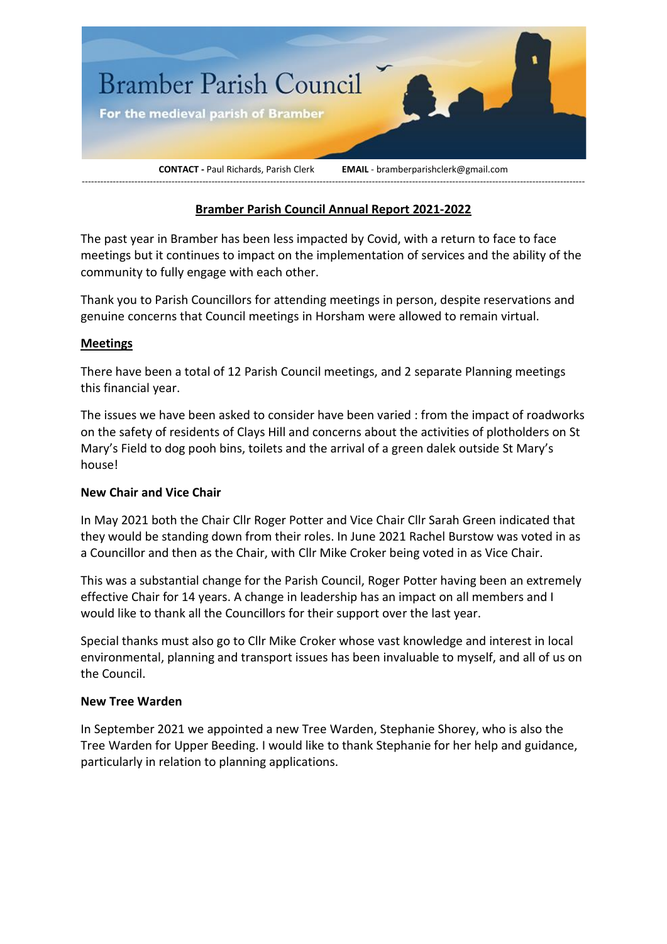

# **Bramber Parish Council Annual Report 2021-2022**

The past year in Bramber has been less impacted by Covid, with a return to face to face meetings but it continues to impact on the implementation of services and the ability of the community to fully engage with each other.

Thank you to Parish Councillors for attending meetings in person, despite reservations and genuine concerns that Council meetings in Horsham were allowed to remain virtual.

#### **Meetings**

There have been a total of 12 Parish Council meetings, and 2 separate Planning meetings this financial year.

The issues we have been asked to consider have been varied : from the impact of roadworks on the safety of residents of Clays Hill and concerns about the activities of plotholders on St Mary's Field to dog pooh bins, toilets and the arrival of a green dalek outside St Mary's house!

#### **New Chair and Vice Chair**

In May 2021 both the Chair Cllr Roger Potter and Vice Chair Cllr Sarah Green indicated that they would be standing down from their roles. In June 2021 Rachel Burstow was voted in as a Councillor and then as the Chair, with Cllr Mike Croker being voted in as Vice Chair.

This was a substantial change for the Parish Council, Roger Potter having been an extremely effective Chair for 14 years. A change in leadership has an impact on all members and I would like to thank all the Councillors for their support over the last year.

Special thanks must also go to Cllr Mike Croker whose vast knowledge and interest in local environmental, planning and transport issues has been invaluable to myself, and all of us on the Council.

#### **New Tree Warden**

In September 2021 we appointed a new Tree Warden, Stephanie Shorey, who is also the Tree Warden for Upper Beeding. I would like to thank Stephanie for her help and guidance, particularly in relation to planning applications.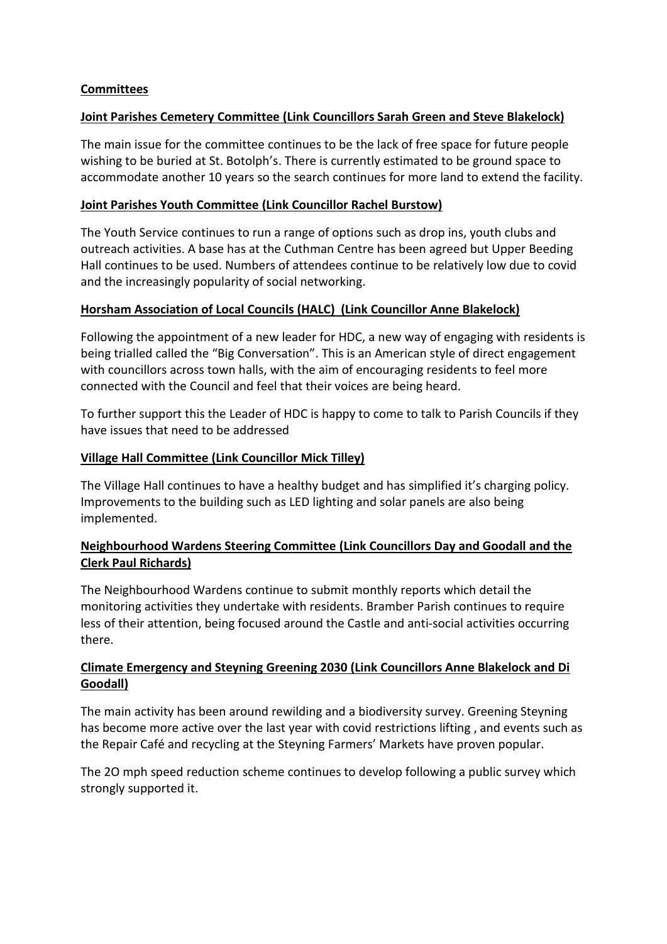## **Committees**

### **Joint Parishes Cemetery Committee (Link Councillors Sarah Green and Steve Blakelock)**

The main issue for the committee continues to be the lack of free space for future people wishing to be buried at St. Botolph's. There is currently estimated to be ground space to accommodate another 10 years so the search continues for more land to extend the facility.

### **Joint Parishes Youth Committee (Link Councillor Rachel Burstow)**

The Youth Service continues to run a range of options such as drop ins, youth clubs and outreach activities. A base has at the Cuthman Centre has been agreed but Upper Beeding Hall continues to be used. Numbers of attendees continue to be relatively low due to covid and the increasingly popularity of social networking.

## **Horsham Association of Local Councils (HALC) (Link Councillor Anne Blakelock)**

Following the appointment of a new leader for HDC, a new way of engaging with residents is being trialled called the "Big Conversation". This is an American style of direct engagement with councillors across town halls, with the aim of encouraging residents to feel more connected with the Council and feel that their voices are being heard.

To further support this the Leader of HDC is happy to come to talk to Parish Councils if they have issues that need to be addressed

### **Village Hall Committee (Link Councillor Mick Tilley)**

The Village Hall continues to have a healthy budget and has simplified it's charging policy. Improvements to the building such as LED lighting and solar panels are also being implemented.

## **Neighbourhood Wardens Steering Committee (Link Councillors Day and Goodall and the Clerk Paul Richards)**

The Neighbourhood Wardens continue to submit monthly reports which detail the monitoring activities they undertake with residents. Bramber Parish continues to require less of their attention, being focused around the Castle and anti-social activities occurring there.

### **Climate Emergency and Steyning Greening 2030 (Link Councillors Anne Blakelock and Di Goodall)**

The main activity has been around rewilding and a biodiversity survey. Greening Steyning has become more active over the last year with covid restrictions lifting , and events such as the Repair Café and recycling at the Steyning Farmers' Markets have proven popular.

The 2O mph speed reduction scheme continues to develop following a public survey which strongly supported it.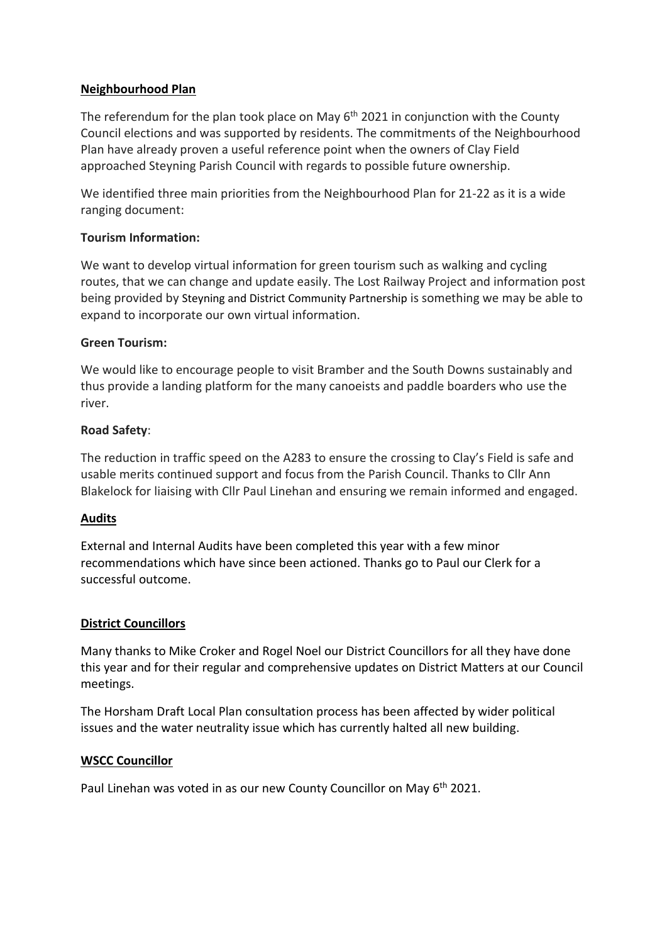### **Neighbourhood Plan**

The referendum for the plan took place on May  $6<sup>th</sup>$  2021 in conjunction with the County Council elections and was supported by residents. The commitments of the Neighbourhood Plan have already proven a useful reference point when the owners of Clay Field approached Steyning Parish Council with regards to possible future ownership.

We identified three main priorities from the Neighbourhood Plan for 21-22 as it is a wide ranging document:

### **Tourism Information:**

We want to develop virtual information for green tourism such as walking and cycling routes, that we can change and update easily. The Lost Railway Project and information post being provided by Steyning and District Community Partnership is something we may be able to expand to incorporate our own virtual information.

#### **Green Tourism:**

We would like to encourage people to visit Bramber and the South Downs sustainably and thus provide a landing platform for the many canoeists and paddle boarders who use the river.

### **Road Safety**:

The reduction in traffic speed on the A283 to ensure the crossing to Clay's Field is safe and usable merits continued support and focus from the Parish Council. Thanks to Cllr Ann Blakelock for liaising with Cllr Paul Linehan and ensuring we remain informed and engaged.

## **Audits**

External and Internal Audits have been completed this year with a few minor recommendations which have since been actioned. Thanks go to Paul our Clerk for a successful outcome.

#### **District Councillors**

Many thanks to Mike Croker and Rogel Noel our District Councillors for all they have done this year and for their regular and comprehensive updates on District Matters at our Council meetings.

The Horsham Draft Local Plan consultation process has been affected by wider political issues and the water neutrality issue which has currently halted all new building.

#### **WSCC Councillor**

Paul Linehan was voted in as our new County Councillor on May 6<sup>th</sup> 2021.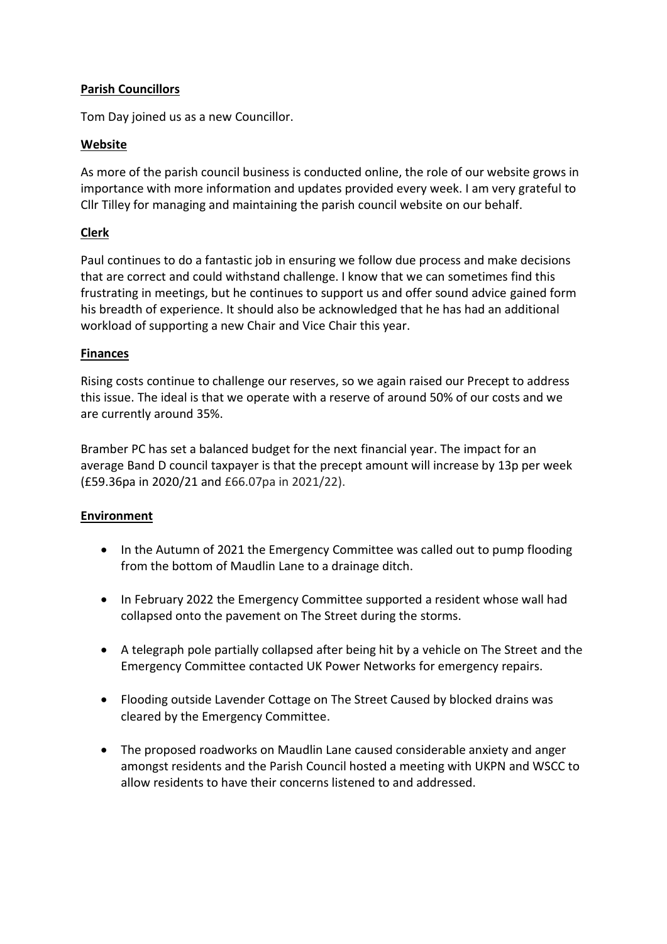## **Parish Councillors**

Tom Day joined us as a new Councillor.

## **Website**

As more of the parish council business is conducted online, the role of our website grows in importance with more information and updates provided every week. I am very grateful to Cllr Tilley for managing and maintaining the parish council website on our behalf.

# **Clerk**

Paul continues to do a fantastic job in ensuring we follow due process and make decisions that are correct and could withstand challenge. I know that we can sometimes find this frustrating in meetings, but he continues to support us and offer sound advice gained form his breadth of experience. It should also be acknowledged that he has had an additional workload of supporting a new Chair and Vice Chair this year.

## **Finances**

Rising costs continue to challenge our reserves, so we again raised our Precept to address this issue. The ideal is that we operate with a reserve of around 50% of our costs and we are currently around 35%.

Bramber PC has set a balanced budget for the next financial year. The impact for an average Band D council taxpayer is that the precept amount will increase by 13p per week (£59.36pa in 2020/21 and £66.07pa in 2021/22).

## **Environment**

- In the Autumn of 2021 the Emergency Committee was called out to pump flooding from the bottom of Maudlin Lane to a drainage ditch.
- In February 2022 the Emergency Committee supported a resident whose wall had collapsed onto the pavement on The Street during the storms.
- A telegraph pole partially collapsed after being hit by a vehicle on The Street and the Emergency Committee contacted UK Power Networks for emergency repairs.
- Flooding outside Lavender Cottage on The Street Caused by blocked drains was cleared by the Emergency Committee.
- The proposed roadworks on Maudlin Lane caused considerable anxiety and anger amongst residents and the Parish Council hosted a meeting with UKPN and WSCC to allow residents to have their concerns listened to and addressed.